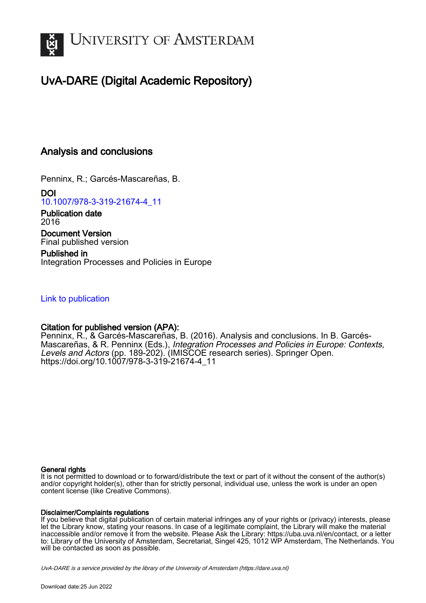

# UvA-DARE (Digital Academic Repository)

## Analysis and conclusions

Penninx, R.; Garcés-Mascareñas, B.

DOI [10.1007/978-3-319-21674-4\\_11](https://doi.org/10.1007/978-3-319-21674-4_11)

Publication date 2016 Document Version

Final published version Published in Integration Processes and Policies in Europe

### [Link to publication](https://dare.uva.nl/personal/pure/en/publications/analysis-and-conclusions(5228da3f-0d75-42a1-9007-7b0c41f93169).html)

### Citation for published version (APA):

Penninx, R., & Garcés-Mascareñas, B. (2016). Analysis and conclusions. In B. Garcés-Mascareñas, & R. Penninx (Eds.), Integration Processes and Policies in Europe: Contexts, Levels and Actors (pp. 189-202). (IMISCOE research series). Springer Open. [https://doi.org/10.1007/978-3-319-21674-4\\_11](https://doi.org/10.1007/978-3-319-21674-4_11)

#### General rights

It is not permitted to download or to forward/distribute the text or part of it without the consent of the author(s) and/or copyright holder(s), other than for strictly personal, individual use, unless the work is under an open content license (like Creative Commons).

#### Disclaimer/Complaints regulations

If you believe that digital publication of certain material infringes any of your rights or (privacy) interests, please let the Library know, stating your reasons. In case of a legitimate complaint, the Library will make the material inaccessible and/or remove it from the website. Please Ask the Library: https://uba.uva.nl/en/contact, or a letter to: Library of the University of Amsterdam, Secretariat, Singel 425, 1012 WP Amsterdam, The Netherlands. You will be contacted as soon as possible.

UvA-DARE is a service provided by the library of the University of Amsterdam (http*s*://dare.uva.nl)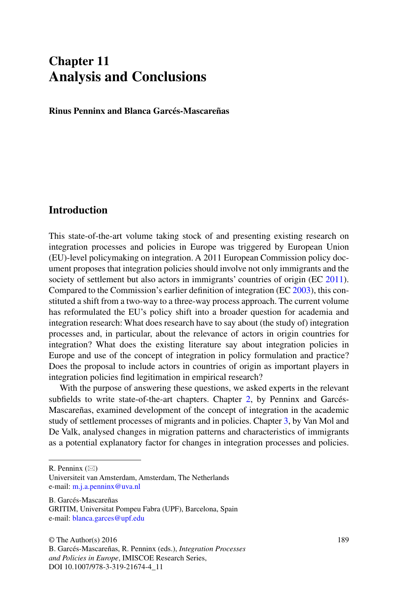## **Chapter 11 Analysis and Conclusions**

 **Rinus Penninx and Blanca Garcés-Mascareñas** 

#### **Introduction**

 This state-of-the-art volume taking stock of and presenting existing research on integration processes and policies in Europe was triggered by European Union (EU)-level policymaking on integration. A 2011 European Commission policy document proposes that integration policies should involve not only immigrants and the society of settlement but also actors in immigrants' countries of origin (EC 2011). Compared to the Commission's earlier definition of integration (EC  $2003$ ), this constituted a shift from a two-way to a three-way process approach. The current volume has reformulated the EU's policy shift into a broader question for academia and integration research: What does research have to say about (the study of) integration processes and, in particular, about the relevance of actors in origin countries for integration? What does the existing literature say about integration policies in Europe and use of the concept of integration in policy formulation and practice? Does the proposal to include actors in countries of origin as important players in integration policies find legitimation in empirical research?

 With the purpose of answering these questions, we asked experts in the relevant subfields to write state-of-the-art chapters. Chapter [2,](http://dx.doi.org/10.1007/978-3-319-21674-4_2) by Penninx and Garcés-Mascareñas, examined development of the concept of integration in the academic study of settlement processes of migrants and in policies. Chapter [3](http://dx.doi.org/10.1007/978-3-319-21674-4_3), by Van Mol and De Valk, analysed changes in migration patterns and characteristics of immigrants as a potential explanatory factor for changes in integration processes and policies.

R. Penninx  $(\boxtimes)$ 

 B. Garcés-Mascareñas GRITIM, Universitat Pompeu Fabra (UPF), Barcelona, Spain

Universiteit van Amsterdam, Amsterdam, The Netherlands e-mail: [m.j.a.penninx@uva.nl](mailto:m.j.a.penninx@uva.nl)

e-mail: [blanca.garces@upf.edu](mailto:blanca.garces@upf.edu)

<sup>©</sup> The Author(s) 2016 189 B. Garcés-Mascareñas, R. Penninx (eds.), *Integration Processes and Policies in Europe*, IMISCOE Research Series, DOI 10.1007/978-3-319-21674-4\_11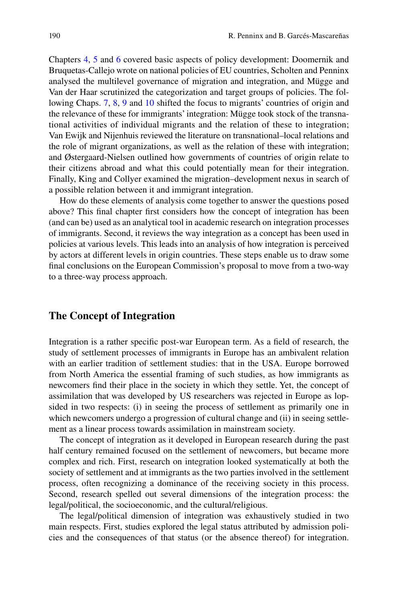Chapters [4](http://dx.doi.org/10.1007/978-3-319-21674-4_4), [5](http://dx.doi.org/10.1007/978-3-319-21674-4_5) and [6](http://dx.doi.org/10.1007/978-3-319-21674-4_6) covered basic aspects of policy development: Doomernik and Bruquetas-Callejo wrote on national policies of EU countries, Scholten and Penninx analysed the multilevel governance of migration and integration, and Mügge and Van der Haar scrutinized the categorization and target groups of policies. The following Chaps. [7,](http://dx.doi.org/10.1007/978-3-319-21674-4_7) [8,](http://dx.doi.org/10.1007/978-3-319-21674-4_8) [9](http://dx.doi.org/10.1007/978-3-319-21674-4_9) and [10](http://dx.doi.org/10.1007/978-3-319-21674-4_10) shifted the focus to migrants' countries of origin and the relevance of these for immigrants' integration: Mügge took stock of the transnational activities of individual migrants and the relation of these to integration; Van Ewijk and Nijenhuis reviewed the literature on transnational–local relations and the role of migrant organizations, as well as the relation of these with integration; and Østergaard-Nielsen outlined how governments of countries of origin relate to their citizens abroad and what this could potentially mean for their integration. Finally, King and Collyer examined the migration–development nexus in search of a possible relation between it and immigrant integration.

 How do these elements of analysis come together to answer the questions posed above? This final chapter first considers how the concept of integration has been (and can be) used as an analytical tool in academic research on integration processes of immigrants. Second, it reviews the way integration as a concept has been used in policies at various levels. This leads into an analysis of how integration is perceived by actors at different levels in origin countries. These steps enable us to draw some final conclusions on the European Commission's proposal to move from a two-way to a three-way process approach.

#### **The Concept of Integration**

Integration is a rather specific post-war European term. As a field of research, the study of settlement processes of immigrants in Europe has an ambivalent relation with an earlier tradition of settlement studies: that in the USA. Europe borrowed from North America the essential framing of such studies, as how immigrants as newcomers find their place in the society in which they settle. Yet, the concept of assimilation that was developed by US researchers was rejected in Europe as lopsided in two respects: (i) in seeing the process of settlement as primarily one in which newcomers undergo a progression of cultural change and (ii) in seeing settlement as a linear process towards assimilation in mainstream society.

 The concept of integration as it developed in European research during the past half century remained focused on the settlement of newcomers, but became more complex and rich. First, research on integration looked systematically at both the society of settlement and at immigrants as the two parties involved in the settlement process, often recognizing a dominance of the receiving society in this process. Second, research spelled out several dimensions of the integration process: the legal/political, the socioeconomic, and the cultural/religious.

 The legal/political dimension of integration was exhaustively studied in two main respects. First, studies explored the legal status attributed by admission policies and the consequences of that status (or the absence thereof) for integration.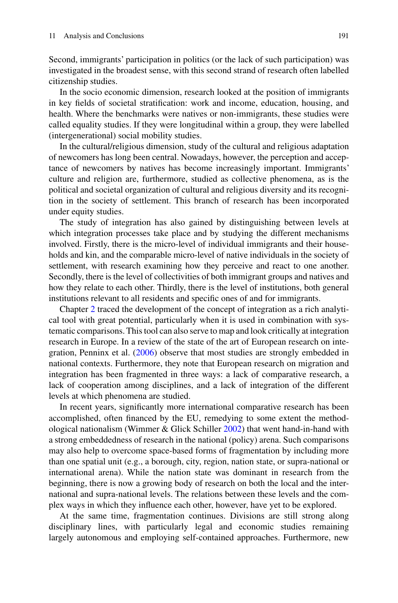Second, immigrants' participation in politics (or the lack of such participation) was investigated in the broadest sense, with this second strand of research often labelled citizenship studies.

 In the socio economic dimension, research looked at the position of immigrants in key fields of societal stratification: work and income, education, housing, and health. Where the benchmarks were natives or non-immigrants, these studies were called equality studies. If they were longitudinal within a group, they were labelled (intergenerational) social mobility studies.

 In the cultural/religious dimension, study of the cultural and religious adaptation of newcomers has long been central. Nowadays, however, the perception and acceptance of newcomers by natives has become increasingly important. Immigrants' culture and religion are, furthermore, studied as collective phenomena, as is the political and societal organization of cultural and religious diversity and its recognition in the society of settlement. This branch of research has been incorporated under equity studies.

 The study of integration has also gained by distinguishing between levels at which integration processes take place and by studying the different mechanisms involved. Firstly, there is the micro-level of individual immigrants and their households and kin, and the comparable micro-level of native individuals in the society of settlement, with research examining how they perceive and react to one another. Secondly, there is the level of collectivities of both immigrant groups and natives and how they relate to each other. Thirdly, there is the level of institutions, both general institutions relevant to all residents and specific ones of and for immigrants.

 Chapter [2](http://dx.doi.org/10.1007/978-3-319-21674-4_2) traced the development of the concept of integration as a rich analytical tool with great potential, particularly when it is used in combination with systematic comparisons. This tool can also serve to map and look critically at integration research in Europe. In a review of the state of the art of European research on integration, Penninx et al.  $(2006)$  observe that most studies are strongly embedded in national contexts. Furthermore, they note that European research on migration and integration has been fragmented in three ways: a lack of comparative research, a lack of cooperation among disciplines, and a lack of integration of the different levels at which phenomena are studied.

In recent years, significantly more international comparative research has been accomplished, often financed by the EU, remedying to some extent the methodological nationalism (Wimmer & Glick Schiller [2002 \)](#page-14-0) that went hand-in-hand with a strong embeddedness of research in the national (policy) arena. Such comparisons may also help to overcome space-based forms of fragmentation by including more than one spatial unit (e.g., a borough, city, region, nation state, or supra-national or international arena). While the nation state was dominant in research from the beginning, there is now a growing body of research on both the local and the international and supra-national levels. The relations between these levels and the complex ways in which they influence each other, however, have yet to be explored.

 At the same time, fragmentation continues. Divisions are still strong along disciplinary lines, with particularly legal and economic studies remaining largely autonomous and employing self-contained approaches. Furthermore, new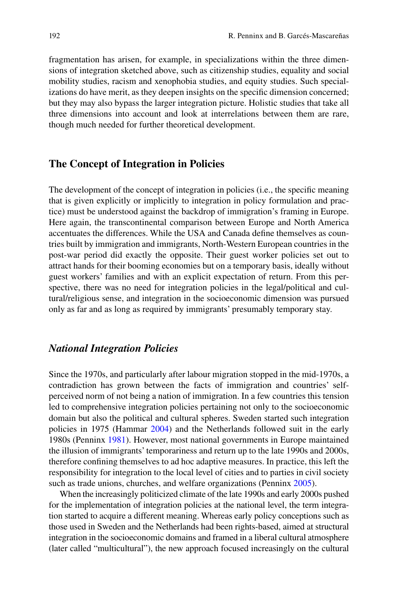fragmentation has arisen, for example, in specializations within the three dimensions of integration sketched above, such as citizenship studies, equality and social mobility studies, racism and xenophobia studies, and equity studies. Such specializations do have merit, as they deepen insights on the specific dimension concerned; but they may also bypass the larger integration picture. Holistic studies that take all three dimensions into account and look at interrelations between them are rare, though much needed for further theoretical development.

#### **The Concept of Integration in Policies**

The development of the concept of integration in policies (i.e., the specific meaning that is given explicitly or implicitly to integration in policy formulation and practice) must be understood against the backdrop of immigration's framing in Europe. Here again, the transcontinental comparison between Europe and North America accentuates the differences. While the USA and Canada define themselves as countries built by immigration and immigrants, North-Western European countries in the post-war period did exactly the opposite. Their guest worker policies set out to attract hands for their booming economies but on a temporary basis, ideally without guest workers' families and with an explicit expectation of return. From this perspective, there was no need for integration policies in the legal/political and cultural/religious sense, and integration in the socioeconomic dimension was pursued only as far and as long as required by immigrants' presumably temporary stay.

#### *National Integration Policies*

 Since the 1970s, and particularly after labour migration stopped in the mid-1970s, a contradiction has grown between the facts of immigration and countries' selfperceived norm of not being a nation of immigration. In a few countries this tension led to comprehensive integration policies pertaining not only to the socioeconomic domain but also the political and cultural spheres. Sweden started such integration policies in 1975 (Hammar 2004) and the Netherlands followed suit in the early 1980s (Penninx [1981](#page-13-0)). However, most national governments in Europe maintained the illusion of immigrants' temporariness and return up to the late 1990s and 2000s, therefore confining themselves to ad hoc adaptive measures. In practice, this left the responsibility for integration to the local level of cities and to parties in civil society such as trade unions, churches, and welfare organizations (Penninx [2005](#page-14-0)).

 When the increasingly politicized climate of the late 1990s and early 2000s pushed for the implementation of integration policies at the national level, the term integration started to acquire a different meaning. Whereas early policy conceptions such as those used in Sweden and the Netherlands had been rights-based, aimed at structural integration in the socioeconomic domains and framed in a liberal cultural atmosphere (later called "multicultural"), the new approach focused increasingly on the cultural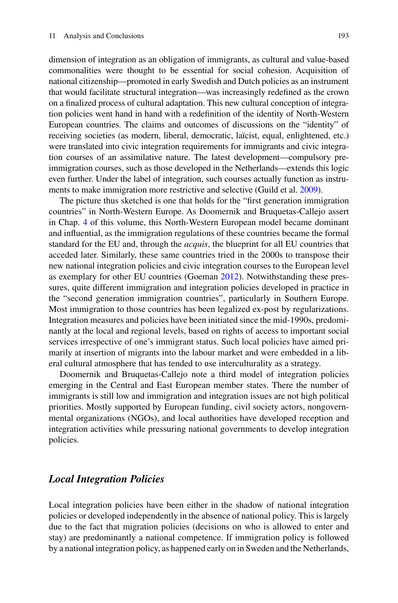dimension of integration as an obligation of immigrants, as cultural and value-based commonalities were thought to be essential for social cohesion. Acquisition of national citizenship—promoted in early Swedish and Dutch policies as an instrument that would facilitate structural integration—was increasingly redefined as the crown on a fi nalized process of cultural adaptation. This new cultural conception of integration policies went hand in hand with a redefinition of the identity of North-Western European countries. The claims and outcomes of discussions on the "identity" of receiving societies (as modern, liberal, democratic, laïcist, equal, enlightened, etc.) were translated into civic integration requirements for immigrants and civic integration courses of an assimilative nature. The latest development—compulsory preimmigration courses, such as those developed in the Netherlands—extends this logic even further. Under the label of integration, such courses actually function as instru-ments to make immigration more restrictive and selective (Guild et al. [2009](#page-13-0)).

The picture thus sketched is one that holds for the "first generation immigration" countries" in North-Western Europe. As Doomernik and Bruquetas-Callejo assert in Chap. [4](http://dx.doi.org/10.1007/978-3-319-21674-4_4) of this volume, this North-Western European model became dominant and influential, as the immigration regulations of these countries became the formal standard for the EU and, through the *acquis* , the blueprint for all EU countries that acceded later. Similarly, these same countries tried in the 2000s to transpose their new national integration policies and civic integration courses to the European level as exemplary for other EU countries (Goeman 2012). Notwithstanding these pressures, quite different immigration and integration policies developed in practice in the "second generation immigration countries", particularly in Southern Europe. Most immigration to those countries has been legalized ex-post by regularizations. Integration measures and policies have been initiated since the mid-1990s, predominantly at the local and regional levels, based on rights of access to important social services irrespective of one's immigrant status. Such local policies have aimed primarily at insertion of migrants into the labour market and were embedded in a liberal cultural atmosphere that has tended to use interculturality as a strategy.

 Doomernik and Bruquetas-Callejo note a third model of integration policies emerging in the Central and East European member states. There the number of immigrants is still low and immigration and integration issues are not high political priorities. Mostly supported by European funding, civil society actors, nongovernmental organizations (NGOs), and local authorities have developed reception and integration activities while pressuring national governments to develop integration policies.

#### *Local Integration Policies*

 Local integration policies have been either in the shadow of national integration policies or developed independently in the absence of national policy. This is largely due to the fact that migration policies (decisions on who is allowed to enter and stay) are predominantly a national competence. If immigration policy is followed by a national integration policy, as happened early on in Sweden and the Netherlands,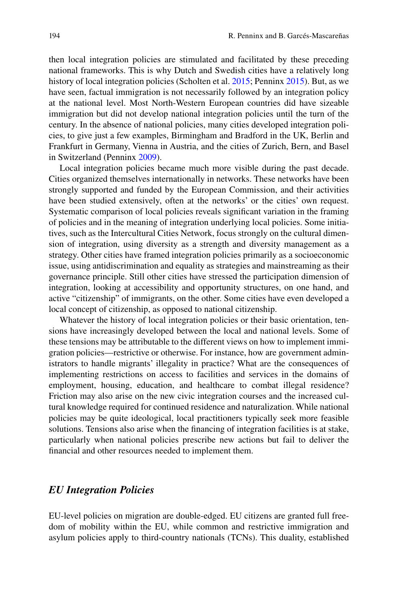then local integration policies are stimulated and facilitated by these preceding national frameworks. This is why Dutch and Swedish cities have a relatively long history of local integration policies (Scholten et al. [2015](#page-14-0); Penninx 2015). But, as we have seen, factual immigration is not necessarily followed by an integration policy at the national level. Most North-Western European countries did have sizeable immigration but did not develop national integration policies until the turn of the century. In the absence of national policies, many cities developed integration policies, to give just a few examples, Birmingham and Bradford in the UK, Berlin and Frankfurt in Germany, Vienna in Austria, and the cities of Zurich, Bern, and Basel in Switzerland (Penninx [2009](#page-14-0)).

 Local integration policies became much more visible during the past decade. Cities organized themselves internationally in networks. These networks have been strongly supported and funded by the European Commission, and their activities have been studied extensively, often at the networks' or the cities' own request. Systematic comparison of local policies reveals significant variation in the framing of policies and in the meaning of integration underlying local policies. Some initiatives, such as the Intercultural Cities Network, focus strongly on the cultural dimension of integration, using diversity as a strength and diversity management as a strategy. Other cities have framed integration policies primarily as a socioeconomic issue, using antidiscrimination and equality as strategies and mainstreaming as their governance principle. Still other cities have stressed the participation dimension of integration, looking at accessibility and opportunity structures, on one hand, and active "citizenship" of immigrants, on the other. Some cities have even developed a local concept of citizenship, as opposed to national citizenship.

 Whatever the history of local integration policies or their basic orientation, tensions have increasingly developed between the local and national levels. Some of these tensions may be attributable to the different views on how to implement immigration policies—restrictive or otherwise. For instance, how are government administrators to handle migrants' illegality in practice? What are the consequences of implementing restrictions on access to facilities and services in the domains of employment, housing, education, and healthcare to combat illegal residence? Friction may also arise on the new civic integration courses and the increased cultural knowledge required for continued residence and naturalization. While national policies may be quite ideological, local practitioners typically seek more feasible solutions. Tensions also arise when the financing of integration facilities is at stake, particularly when national policies prescribe new actions but fail to deliver the financial and other resources needed to implement them.

#### *EU Integration Policies*

 EU-level policies on migration are double-edged. EU citizens are granted full freedom of mobility within the EU, while common and restrictive immigration and asylum policies apply to third-country nationals (TCNs). This duality, established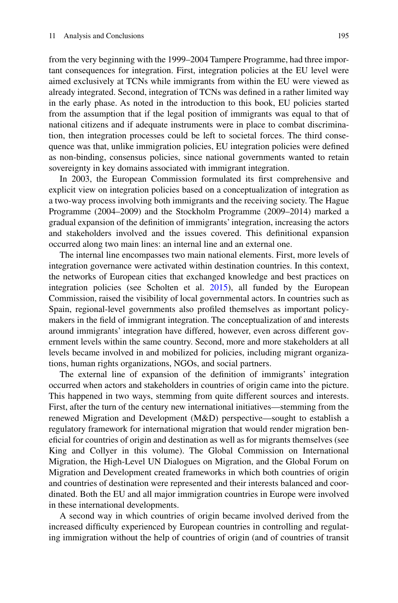from the very beginning with the 1999–2004 Tampere Programme, had three important consequences for integration. First, integration policies at the EU level were aimed exclusively at TCNs while immigrants from within the EU were viewed as already integrated. Second, integration of TCNs was defined in a rather limited way in the early phase. As noted in the introduction to this book, EU policies started from the assumption that if the legal position of immigrants was equal to that of national citizens and if adequate instruments were in place to combat discrimination, then integration processes could be left to societal forces. The third consequence was that, unlike immigration policies, EU integration policies were defined as non-binding, consensus policies, since national governments wanted to retain sovereignty in key domains associated with immigrant integration.

In 2003, the European Commission formulated its first comprehensive and explicit view on integration policies based on a conceptualization of integration as a two-way process involving both immigrants and the receiving society. The Hague Programme (2004–2009) and the Stockholm Programme (2009–2014) marked a gradual expansion of the definition of immigrants' integration, increasing the actors and stakeholders involved and the issues covered. This definitional expansion occurred along two main lines: an internal line and an external one.

 The internal line encompasses two main national elements. First, more levels of integration governance were activated within destination countries. In this context, the networks of European cities that exchanged knowledge and best practices on integration policies (see Scholten et al.  $2015$ ), all funded by the European Commission, raised the visibility of local governmental actors. In countries such as Spain, regional-level governments also profiled themselves as important policymakers in the field of immigrant integration. The conceptualization of and interests around immigrants' integration have differed, however, even across different government levels within the same country. Second, more and more stakeholders at all levels became involved in and mobilized for policies, including migrant organizations, human rights organizations, NGOs, and social partners.

The external line of expansion of the definition of immigrants' integration occurred when actors and stakeholders in countries of origin came into the picture. This happened in two ways, stemming from quite different sources and interests. First, after the turn of the century new international initiatives—stemming from the renewed Migration and Development (M&D) perspective—sought to establish a regulatory framework for international migration that would render migration beneficial for countries of origin and destination as well as for migrants themselves (see King and Collyer in this volume). The Global Commission on International Migration, the High-Level UN Dialogues on Migration, and the Global Forum on Migration and Development created frameworks in which both countries of origin and countries of destination were represented and their interests balanced and coordinated. Both the EU and all major immigration countries in Europe were involved in these international developments.

 A second way in which countries of origin became involved derived from the increased difficulty experienced by European countries in controlling and regulating immigration without the help of countries of origin (and of countries of transit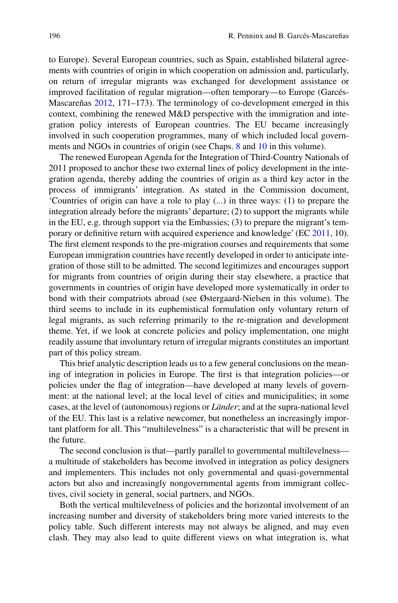to Europe). Several European countries, such as Spain, established bilateral agreements with countries of origin in which cooperation on admission and, particularly, on return of irregular migrants was exchanged for development assistance or improved facilitation of regular migration—often temporary—to Europe (Garcés-Mascareñas [2012](#page-13-0) , 171–173). The terminology of co-development emerged in this context, combining the renewed M&D perspective with the immigration and integration policy interests of European countries. The EU became increasingly involved in such cooperation programmes, many of which included local governments and NGOs in countries of origin (see Chaps. [8](http://dx.doi.org/10.1007/978-3-319-21674-4_8) and [10](http://dx.doi.org/10.1007/978-3-319-21674-4_10) in this volume).

 The renewed European Agenda for the Integration of Third-Country Nationals of 2011 proposed to anchor these two external lines of policy development in the integration agenda, thereby adding the countries of origin as a third key actor in the process of immigrants' integration. As stated in the Commission document, 'Countries of origin can have a role to play (...) in three ways: (1) to prepare the integration already before the migrants' departure; (2) to support the migrants while in the EU, e.g. through support via the Embassies; (3) to prepare the migrant's temporary or definitive return with acquired experience and knowledge' (EC 2011, 10). The first element responds to the pre-migration courses and requirements that some European immigration countries have recently developed in order to anticipate integration of those still to be admitted. The second legitimizes and encourages support for migrants from countries of origin during their stay elsewhere, a practice that governments in countries of origin have developed more systematically in order to bond with their compatriots abroad (see Østergaard-Nielsen in this volume). The third seems to include in its euphemistical formulation only voluntary return of legal migrants, as such referring primarily to the re-migration and development theme. Yet, if we look at concrete policies and policy implementation, one might readily assume that involuntary return of irregular migrants constitutes an important part of this policy stream.

 This brief analytic description leads us to a few general conclusions on the meaning of integration in policies in Europe. The first is that integration policies—or policies under the flag of integration—have developed at many levels of government: at the national level; at the local level of cities and municipalities; in some cases, at the level of (autonomous) regions or *Länder* ; and at the supra-national level of the EU. This last is a relative newcomer, but nonetheless an increasingly important platform for all. This "multilevelness" is a characteristic that will be present in the future.

 The second conclusion is that—partly parallel to governmental multilevelness a multitude of stakeholders has become involved in integration as policy designers and implementers. This includes not only governmental and quasi-governmental actors but also and increasingly nongovernmental agents from immigrant collectives, civil society in general, social partners, and NGOs.

 Both the vertical multilevelness of policies and the horizontal involvement of an increasing number and diversity of stakeholders bring more varied interests to the policy table. Such different interests may not always be aligned, and may even clash. They may also lead to quite different views on what integration is, what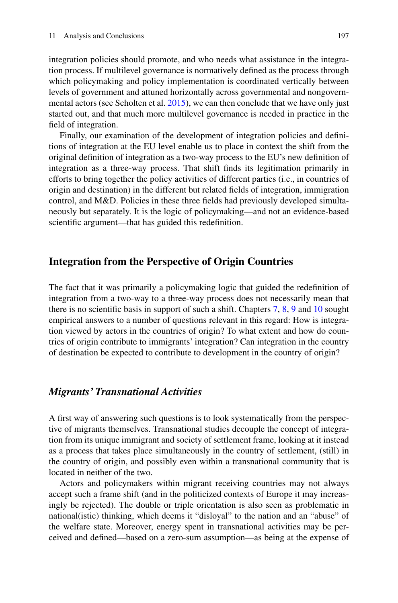integration policies should promote, and who needs what assistance in the integration process. If multilevel governance is normatively defined as the process through which policymaking and policy implementation is coordinated vertically between levels of government and attuned horizontally across governmental and nongovern-mental actors (see Scholten et al. [2015](#page-14-0)), we can then conclude that we have only just started out, and that much more multilevel governance is needed in practice in the field of integration.

Finally, our examination of the development of integration policies and definitions of integration at the EU level enable us to place in context the shift from the original definition of integration as a two-way process to the EU's new definition of integration as a three-way process. That shift finds its legitimation primarily in efforts to bring together the policy activities of different parties (i.e., in countries of origin and destination) in the different but related fields of integration, immigration control, and M&D. Policies in these three fields had previously developed simultaneously but separately. It is the logic of policymaking—and not an evidence-based scientific argument—that has guided this redefinition.

#### **Integration from the Perspective of Origin Countries**

The fact that it was primarily a policymaking logic that guided the redefinition of integration from a two-way to a three-way process does not necessarily mean that there is no scientific basis in support of such a shift. Chapters  $7, 8, 9$  $7, 8, 9$  $7, 8, 9$  $7, 8, 9$  and  $10$  sought empirical answers to a number of questions relevant in this regard: How is integration viewed by actors in the countries of origin? To what extent and how do countries of origin contribute to immigrants' integration? Can integration in the country of destination be expected to contribute to development in the country of origin?

#### *Migrants' Transnational Activities*

A first way of answering such questions is to look systematically from the perspective of migrants themselves. Transnational studies decouple the concept of integration from its unique immigrant and society of settlement frame, looking at it instead as a process that takes place simultaneously in the country of settlement, (still) in the country of origin, and possibly even within a transnational community that is located in neither of the two.

 Actors and policymakers within migrant receiving countries may not always accept such a frame shift (and in the politicized contexts of Europe it may increasingly be rejected). The double or triple orientation is also seen as problematic in national(istic) thinking, which deems it "disloyal" to the nation and an "abuse" of the welfare state. Moreover, energy spent in transnational activities may be perceived and defined—based on a zero-sum assumption—as being at the expense of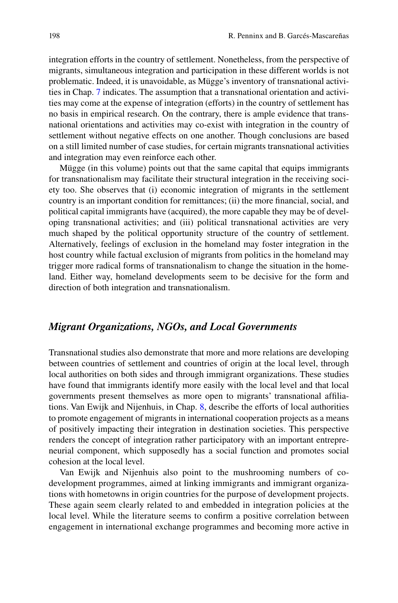integration efforts in the country of settlement. Nonetheless, from the perspective of migrants, simultaneous integration and participation in these different worlds is not problematic. Indeed, it is unavoidable, as Mügge's inventory of transnational activities in Chap. [7](http://dx.doi.org/10.1007/978-3-319-21674-4_7) indicates. The assumption that a transnational orientation and activities may come at the expense of integration (efforts) in the country of settlement has no basis in empirical research. On the contrary, there is ample evidence that transnational orientations and activities may co-exist with integration in the country of settlement without negative effects on one another. Though conclusions are based on a still limited number of case studies, for certain migrants transnational activities and integration may even reinforce each other.

 Mügge (in this volume) points out that the same capital that equips immigrants for transnationalism may facilitate their structural integration in the receiving society too. She observes that (i) economic integration of migrants in the settlement country is an important condition for remittances; (ii) the more financial, social, and political capital immigrants have (acquired), the more capable they may be of developing transnational activities; and (iii) political transnational activities are very much shaped by the political opportunity structure of the country of settlement. Alternatively, feelings of exclusion in the homeland may foster integration in the host country while factual exclusion of migrants from politics in the homeland may trigger more radical forms of transnationalism to change the situation in the homeland. Either way, homeland developments seem to be decisive for the form and direction of both integration and transnationalism.

#### *Migrant Organizations, NGOs, and Local Governments*

 Transnational studies also demonstrate that more and more relations are developing between countries of settlement and countries of origin at the local level, through local authorities on both sides and through immigrant organizations. These studies have found that immigrants identify more easily with the local level and that local governments present themselves as more open to migrants' transnational affiliations. Van Ewijk and Nijenhuis, in Chap. [8,](http://dx.doi.org/10.1007/978-3-319-21674-4_8) describe the efforts of local authorities to promote engagement of migrants in international cooperation projects as a means of positively impacting their integration in destination societies. This perspective renders the concept of integration rather participatory with an important entrepreneurial component, which supposedly has a social function and promotes social cohesion at the local level.

 Van Ewijk and Nijenhuis also point to the mushrooming numbers of codevelopment programmes, aimed at linking immigrants and immigrant organizations with hometowns in origin countries for the purpose of development projects. These again seem clearly related to and embedded in integration policies at the local level. While the literature seems to confirm a positive correlation between engagement in international exchange programmes and becoming more active in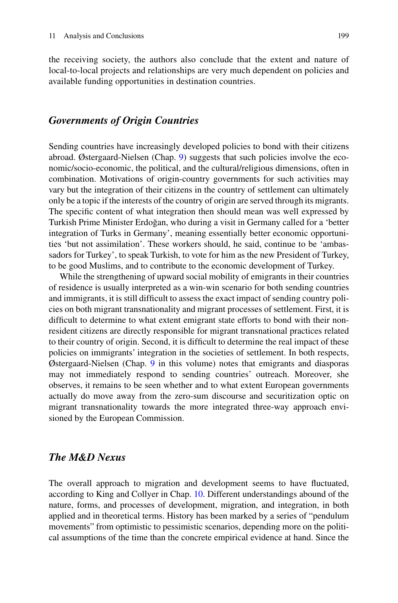the receiving society, the authors also conclude that the extent and nature of local-to- local projects and relationships are very much dependent on policies and available funding opportunities in destination countries.

#### *Governments of Origin Countries*

 Sending countries have increasingly developed policies to bond with their citizens abroad. Østergaard-Nielsen (Chap. [9\)](http://dx.doi.org/10.1007/978-3-319-21674-4_9) suggests that such policies involve the economic/socio-economic, the political, and the cultural/religious dimensions, often in combination. Motivations of origin-country governments for such activities may vary but the integration of their citizens in the country of settlement can ultimately only be a topic if the interests of the country of origin are served through its migrants. The specific content of what integration then should mean was well expressed by Turkish Prime Minister Erdoğan, who during a visit in Germany called for a 'better integration of Turks in Germany', meaning essentially better economic opportunities 'but not assimilation'. These workers should, he said, continue to be 'ambassadors for Turkey', to speak Turkish, to vote for him as the new President of Turkey, to be good Muslims, and to contribute to the economic development of Turkey.

 While the strengthening of upward social mobility of emigrants in their countries of residence is usually interpreted as a win-win scenario for both sending countries and immigrants, it is still difficult to assess the exact impact of sending country policies on both migrant transnationality and migrant processes of settlement. First, it is difficult to determine to what extent emigrant state efforts to bond with their nonresident citizens are directly responsible for migrant transnational practices related to their country of origin. Second, it is difficult to determine the real impact of these policies on immigrants' integration in the societies of settlement. In both respects,  $\oslash$ Stergaard-Nielsen (Chap. [9](http://dx.doi.org/10.1007/978-3-319-21674-4_9) in this volume) notes that emigrants and diasporas may not immediately respond to sending countries' outreach. Moreover, she observes, it remains to be seen whether and to what extent European governments actually do move away from the zero-sum discourse and securitization optic on migrant transnationality towards the more integrated three-way approach envisioned by the European Commission.

#### *The M&D Nexus*

The overall approach to migration and development seems to have fluctuated, according to King and Collyer in Chap. [10](http://dx.doi.org/10.1007/978-3-319-21674-4_10). Different understandings abound of the nature, forms, and processes of development, migration, and integration, in both applied and in theoretical terms. History has been marked by a series of "pendulum movements" from optimistic to pessimistic scenarios, depending more on the political assumptions of the time than the concrete empirical evidence at hand. Since the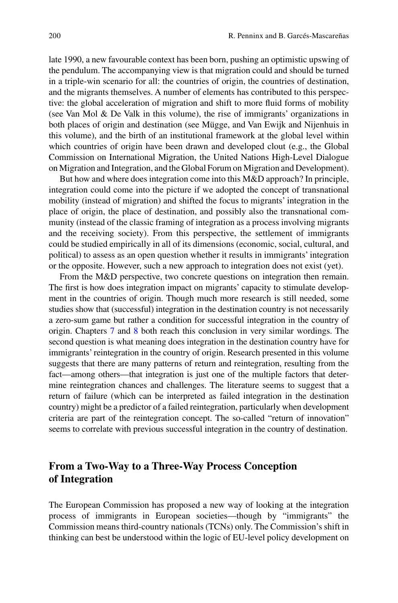late 1990, a new favourable context has been born, pushing an optimistic upswing of the pendulum. The accompanying view is that migration could and should be turned in a triple-win scenario for all: the countries of origin, the countries of destination, and the migrants themselves. A number of elements has contributed to this perspective: the global acceleration of migration and shift to more fluid forms of mobility (see Van Mol & De Valk in this volume), the rise of immigrants' organizations in both places of origin and destination (see Mügge, and Van Ewijk and Nijenhuis in this volume), and the birth of an institutional framework at the global level within which countries of origin have been drawn and developed clout (e.g., the Global Commission on International Migration, the United Nations High-Level Dialogue on Migration and Integration, and the Global Forum on Migration and Development).

 But how and where does integration come into this M&D approach? In principle, integration could come into the picture if we adopted the concept of transnational mobility (instead of migration) and shifted the focus to migrants' integration in the place of origin, the place of destination, and possibly also the transnational community (instead of the classic framing of integration as a process involving migrants and the receiving society). From this perspective, the settlement of immigrants could be studied empirically in all of its dimensions (economic, social, cultural, and political) to assess as an open question whether it results in immigrants' integration or the opposite. However, such a new approach to integration does not exist (yet).

From the M&D perspective, two concrete questions on integration then remain. The first is how does integration impact on migrants' capacity to stimulate development in the countries of origin. Though much more research is still needed, some studies show that (successful) integration in the destination country is not necessarily a zero-sum game but rather a condition for successful integration in the country of origin. Chapters [7](http://dx.doi.org/10.1007/978-3-319-21674-4_7) and [8](http://dx.doi.org/10.1007/978-3-319-21674-4_8) both reach this conclusion in very similar wordings. The second question is what meaning does integration in the destination country have for immigrants' reintegration in the country of origin. Research presented in this volume suggests that there are many patterns of return and reintegration, resulting from the fact—among others—that integration is just one of the multiple factors that determine reintegration chances and challenges. The literature seems to suggest that a return of failure (which can be interpreted as failed integration in the destination country) might be a predictor of a failed reintegration, particularly when development criteria are part of the reintegration concept. The so-called "return of innovation" seems to correlate with previous successful integration in the country of destination.

#### **From a Two-Way to a Three-Way Process Conception of Integration**

 The European Commission has proposed a new way of looking at the integration process of immigrants in European societies—though by "immigrants" the Commission means third-country nationals (TCNs) only. The Commission's shift in thinking can best be understood within the logic of EU-level policy development on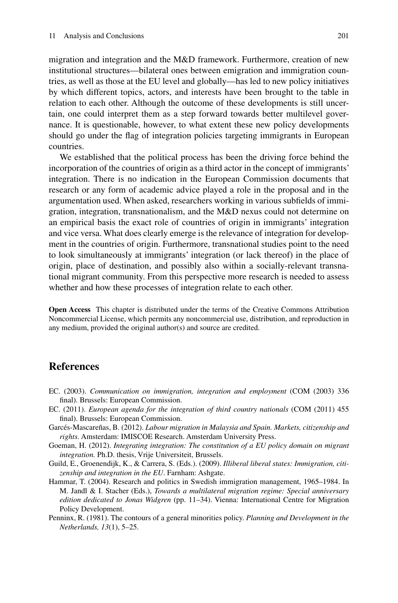<span id="page-13-0"></span>migration and integration and the M&D framework. Furthermore, creation of new institutional structures—bilateral ones between emigration and immigration countries, as well as those at the EU level and globally—has led to new policy initiatives by which different topics, actors, and interests have been brought to the table in relation to each other. Although the outcome of these developments is still uncertain, one could interpret them as a step forward towards better multilevel governance. It is questionable, however, to what extent these new policy developments should go under the flag of integration policies targeting immigrants in European countries.

 We established that the political process has been the driving force behind the incorporation of the countries of origin as a third actor in the concept of immigrants' integration. There is no indication in the European Commission documents that research or any form of academic advice played a role in the proposal and in the argumentation used. When asked, researchers working in various subfields of immigration, integration, transnationalism, and the M&D nexus could not determine on an empirical basis the exact role of countries of origin in immigrants' integration and vice versa. What does clearly emerge is the relevance of integration for development in the countries of origin. Furthermore, transnational studies point to the need to look simultaneously at immigrants' integration (or lack thereof) in the place of origin, place of destination, and possibly also within a socially-relevant transnational migrant community. From this perspective more research is needed to assess whether and how these processes of integration relate to each other.

**Open Access** This chapter is distributed under the terms of the Creative Commons Attribution Noncommercial License, which permits any noncommercial use, distribution, and reproduction in any medium, provided the original author(s) and source are credited.

#### **References**

- EC. (2003). *Communication on immigration, integration and employment* (COM (2003) 336 final). Brussels: European Commission.
- EC. (2011). *European agenda for the integration of third country nationals* (COM (2011) 455 final). Brussels: European Commission.
- Garcés-Mascareñas, B. (2012). *Labour migration in Malaysia and Spain. Markets, citizenship and rights* . Amsterdam: IMISCOE Research. Amsterdam University Press.
- Goeman, H. (2012). *Integrating integration: The constitution of a EU policy domain on migrant integration.* Ph.D. thesis, Vrije Universiteit, Brussels.
- Guild, E., Groenendijk, K., & Carrera, S. (Eds.). (2009). *Illiberal liberal states: Immigration, citizenship and integration in the EU* . Farnham: Ashgate.
- Hammar, T. (2004). Research and politics in Swedish immigration management, 1965–1984. In M. Jandl & I. Stacher (Eds.), *Towards a multilateral migration regime: Special anniversary edition dedicated to Jonas Widgren* (pp. 11–34). Vienna: International Centre for Migration Policy Development.
- Penninx, R. (1981). The contours of a general minorities policy. *Planning and Development in the Netherlands, 13* (1), 5–25.